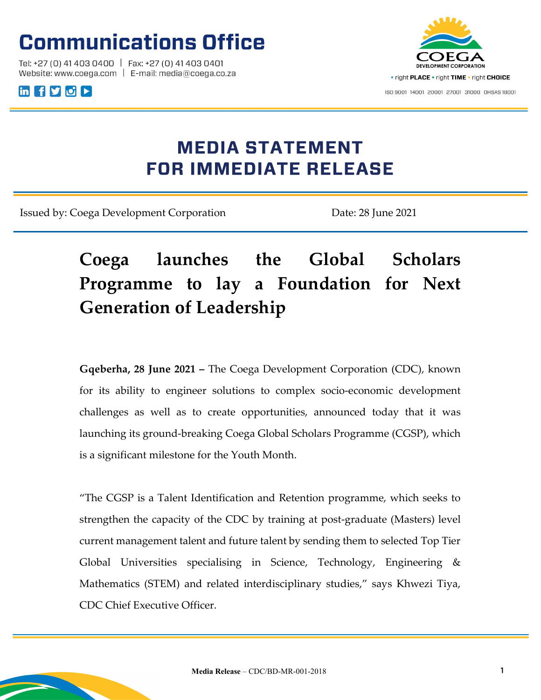# **Communications Office**

Tel: +27 (0) 41 403 0400 | Fax: +27 (0) 41 403 0401 Website: www.coega.com | E-mail: media@coega.co.za





## **MEDIA STATEMENT FOR IMMEDIATE RELEASE**

Issued by: Coega Development Corporation Date: 28 June 2021

## Coega launches the Global Scholars Programme to lay a Foundation for Next Generation of Leadership

Gqeberha, 28 June 2021 – The Coega Development Corporation (CDC), known for its ability to engineer solutions to complex socio-economic development challenges as well as to create opportunities, announced today that it was launching its ground-breaking Coega Global Scholars Programme (CGSP), which is a significant milestone for the Youth Month.

"The CGSP is a Talent Identification and Retention programme, which seeks to strengthen the capacity of the CDC by training at post-graduate (Masters) level current management talent and future talent by sending them to selected Top Tier Global Universities specialising in Science, Technology, Engineering & Mathematics (STEM) and related interdisciplinary studies," says Khwezi Tiya, CDC Chief Executive Officer.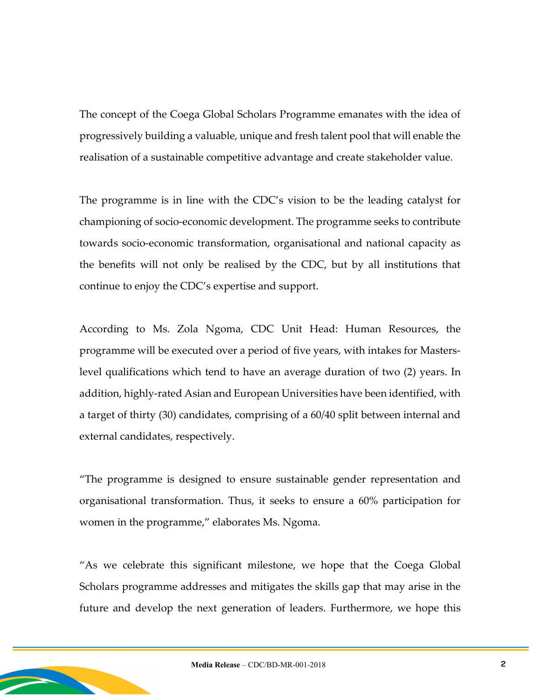The concept of the Coega Global Scholars Programme emanates with the idea of progressively building a valuable, unique and fresh talent pool that will enable the realisation of a sustainable competitive advantage and create stakeholder value.

The programme is in line with the CDC's vision to be the leading catalyst for championing of socio-economic development. The programme seeks to contribute towards socio-economic transformation, organisational and national capacity as the benefits will not only be realised by the CDC, but by all institutions that continue to enjoy the CDC's expertise and support.

According to Ms. Zola Ngoma, CDC Unit Head: Human Resources, the programme will be executed over a period of five years, with intakes for Masterslevel qualifications which tend to have an average duration of two (2) years. In addition, highly-rated Asian and European Universities have been identified, with a target of thirty (30) candidates, comprising of a 60/40 split between internal and external candidates, respectively.

"The programme is designed to ensure sustainable gender representation and organisational transformation. Thus, it seeks to ensure a 60% participation for women in the programme," elaborates Ms. Ngoma.

"As we celebrate this significant milestone, we hope that the Coega Global Scholars programme addresses and mitigates the skills gap that may arise in the future and develop the next generation of leaders. Furthermore, we hope this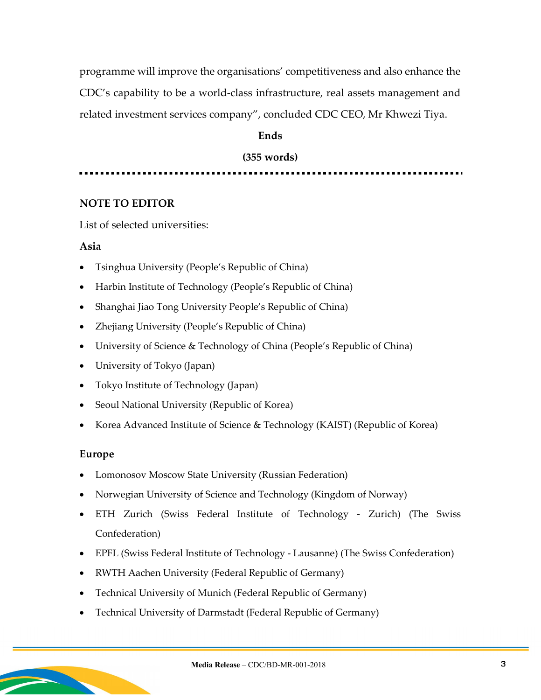programme will improve the organisations' competitiveness and also enhance the CDC's capability to be a world-class infrastructure, real assets management and related investment services company", concluded CDC CEO, Mr Khwezi Tiya.

### **Ends**

### (355 words)

## NOTE TO EDITOR

List of selected universities:

#### Asia

- Tsinghua University (People's Republic of China)
- Harbin Institute of Technology (People's Republic of China)
- Shanghai Jiao Tong University People's Republic of China)
- Zhejiang University (People's Republic of China)
- University of Science & Technology of China (People's Republic of China)
- University of Tokyo (Japan)
- Tokyo Institute of Technology (Japan)
- Seoul National University (Republic of Korea)
- Korea Advanced Institute of Science & Technology (KAIST) (Republic of Korea)

#### Europe

- Lomonosov Moscow State University (Russian Federation)
- Norwegian University of Science and Technology (Kingdom of Norway)
- ETH Zurich (Swiss Federal Institute of Technology Zurich) (The Swiss Confederation)
- EPFL (Swiss Federal Institute of Technology Lausanne) (The Swiss Confederation)
- RWTH Aachen University (Federal Republic of Germany)
- Technical University of Munich (Federal Republic of Germany)
- Technical University of Darmstadt (Federal Republic of Germany)